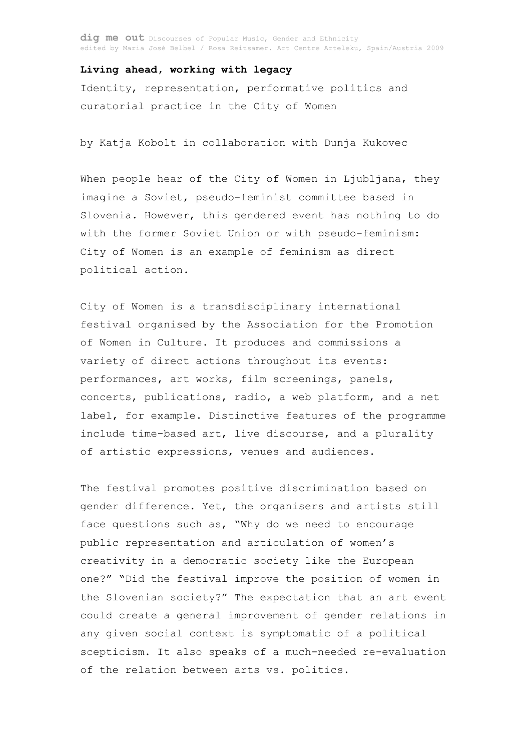dig me out Discourses of Popular Music, Gender and Ethnicity edited by Maria José Belbel / Rosa Reitsamer. Art Centre Arteleku, Spain/Austria 2009

## **Living ahead, working with legacy**

Identity, representation, performative politics and curatorial practice in the City of Women

by Katja Kobolt in collaboration with Dunja Kukovec

When people hear of the City of Women in Ljubljana, they imagine a Soviet, pseudo-feminist committee based in Slovenia. However, this gendered event has nothing to do with the former Soviet Union or with pseudo-feminism: City of Women is an example of feminism as direct political action.

City of Women is a transdisciplinary international festival organised by the Association for the Promotion of Women in Culture. It produces and commissions a variety of direct actions throughout its events: performances, art works, film screenings, panels, concerts, publications, radio, a web platform, and a net label, for example. Distinctive features of the programme include time-based art, live discourse, and a plurality of artistic expressions, venues and audiences.

The festival promotes positive discrimination based on gender difference. Yet, the organisers and artists still face questions such as, "Why do we need to encourage public representation and articulation of women's creativity in a democratic society like the European one?" "Did the festival improve the position of women in the Slovenian society?" The expectation that an art event could create a general improvement of gender relations in any given social context is symptomatic of a political scepticism. It also speaks of a much-needed re-evaluation of the relation between arts vs. politics.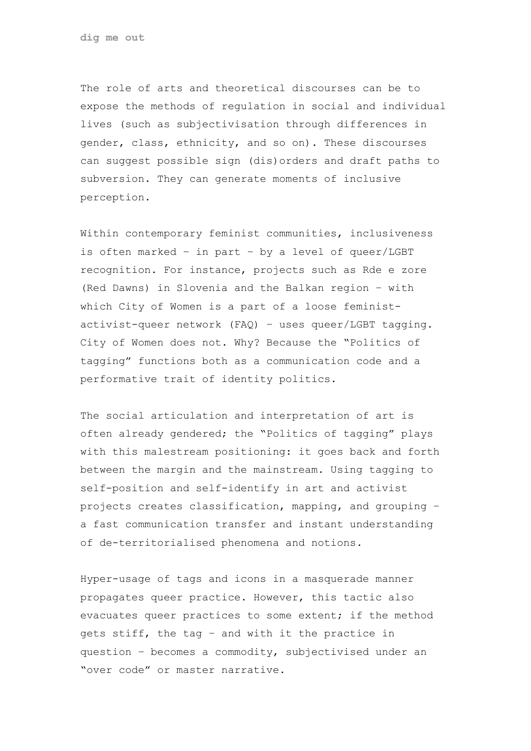**dig me out**

The role of arts and theoretical discourses can be to expose the methods of regulation in social and individual lives (such as subjectivisation through differences in gender, class, ethnicity, and so on). These discourses can suggest possible sign (dis)orders and draft paths to subversion. They can generate moments of inclusive perception.

Within contemporary feminist communities, inclusiveness is often marked – in part – by a level of queer/LGBT recognition. For instance, projects such as Rde e zore (Red Dawns) in Slovenia and the Balkan region – with which City of Women is a part of a loose feministactivist-queer network (FAQ) – uses queer/LGBT tagging. City of Women does not. Why? Because the "Politics of tagging" functions both as a communication code and a performative trait of identity politics.

The social articulation and interpretation of art is often already gendered; the "Politics of tagging" plays with this malestream positioning: it goes back and forth between the margin and the mainstream. Using tagging to self-position and self-identify in art and activist projects creates classification, mapping, and grouping – a fast communication transfer and instant understanding of de-territorialised phenomena and notions.

Hyper-usage of tags and icons in a masquerade manner propagates queer practice. However, this tactic also evacuates queer practices to some extent; if the method gets stiff, the tag – and with it the practice in question – becomes a commodity, subjectivised under an "over code" or master narrative.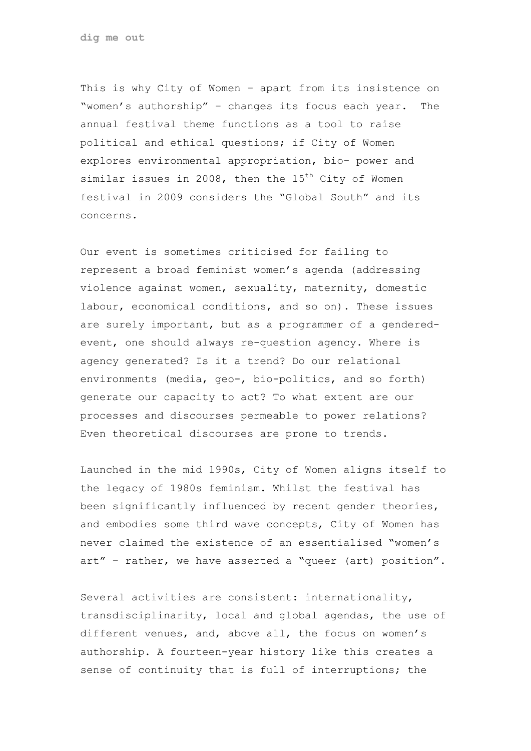**dig me out**

This is why City of Women – apart from its insistence on "women's authorship" – changes its focus each year. The annual festival theme functions as a tool to raise political and ethical questions; if City of Women explores environmental appropriation, bio- power and similar issues in 2008, then the  $15<sup>th</sup>$  City of Women festival in 2009 considers the "Global South" and its concerns.

Our event is sometimes criticised for failing to represent a broad feminist women's agenda (addressing violence against women, sexuality, maternity, domestic labour, economical conditions, and so on). These issues are surely important, but as a programmer of a genderedevent, one should always re-question agency. Where is agency generated? Is it a trend? Do our relational environments (media, geo-, bio-politics, and so forth) generate our capacity to act? To what extent are our processes and discourses permeable to power relations? Even theoretical discourses are prone to trends.

Launched in the mid 1990s, City of Women aligns itself to the legacy of 1980s feminism. Whilst the festival has been significantly influenced by recent gender theories, and embodies some third wave concepts, City of Women has never claimed the existence of an essentialised "women's art" – rather, we have asserted a "queer (art) position".

Several activities are consistent: internationality, transdisciplinarity, local and global agendas, the use of different venues, and, above all, the focus on women's authorship. A fourteen-year history like this creates a sense of continuity that is full of interruptions; the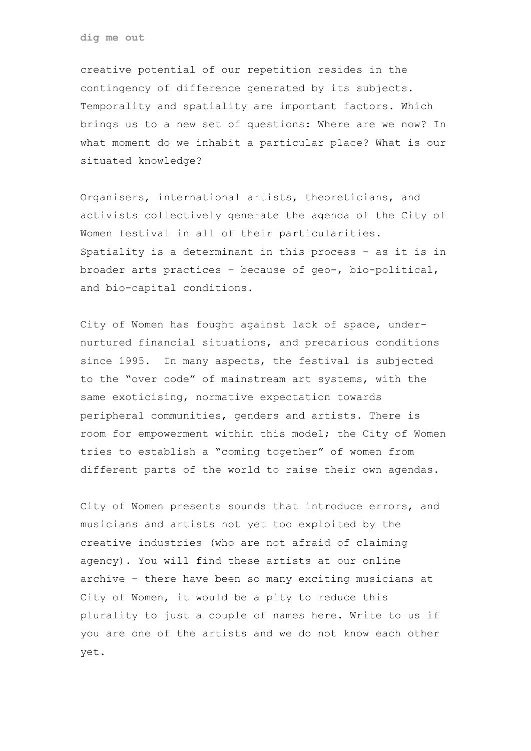**dig me out**

creative potential of our repetition resides in the contingency of difference generated by its subjects. Temporality and spatiality are important factors. Which brings us to a new set of questions: Where are we now? In what moment do we inhabit a particular place? What is our situated knowledge?

Organisers, international artists, theoreticians, and activists collectively generate the agenda of the City of Women festival in all of their particularities. Spatiality is a determinant in this process – as it is in broader arts practices – because of geo-, bio-political, and bio-capital conditions.

City of Women has fought against lack of space, undernurtured financial situations, and precarious conditions since 1995. In many aspects, the festival is subjected to the "over code" of mainstream art systems, with the same exoticising, normative expectation towards peripheral communities, genders and artists. There is room for empowerment within this model; the City of Women tries to establish a "coming together" of women from different parts of the world to raise their own agendas.

City of Women presents sounds that introduce errors, and musicians and artists not yet too exploited by the creative industries (who are not afraid of claiming agency). You will find these artists at our online archive – there have been so many exciting musicians at City of Women, it would be a pity to reduce this plurality to just a couple of names here. Write to us if you are one of the artists and we do not know each other yet.